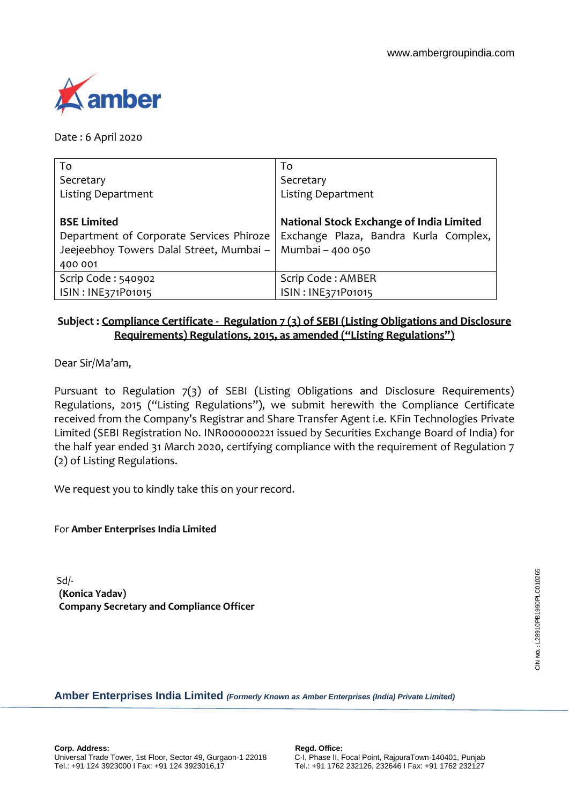

Date : 6 April 2020

| To                                       | To                                       |
|------------------------------------------|------------------------------------------|
| Secretary                                | Secretary                                |
| <b>Listing Department</b>                | <b>Listing Department</b>                |
|                                          |                                          |
| <b>BSE Limited</b>                       | National Stock Exchange of India Limited |
| Department of Corporate Services Phiroze | Exchange Plaza, Bandra Kurla Complex,    |
| Jeejeebhoy Towers Dalal Street, Mumbai - | Mumbai - 400 050                         |
| 400 001                                  |                                          |
| Scrip Code: 540902                       | Scrip Code: AMBER                        |
| ISIN: INE371P01015                       | ISIN: INE371P01015                       |

## **Subject : Compliance Certificate - Regulation 7 (3) of SEBI (Listing Obligations and Disclosure Requirements) Regulations, 2015, as amended ("Listing Regulations")**

Dear Sir/Ma'am,

Pursuant to Regulation 7(3) of SEBI (Listing Obligations and Disclosure Requirements) Regulations, 2015 ("Listing Regulations"), we submit herewith the Compliance Certificate received from the Company's Registrar and Share Transfer Agent i.e. KFin Technologies Private Limited (SEBI Registration No. INR000000221 issued by Securities Exchange Board of India) for the half year ended 31 March 2020, certifying compliance with the requirement of Regulation 7 (2) of Listing Regulations.

We request you to kindly take this on your record.

For **Amber Enterprises India Limited**

Sd/- **(Konica Yadav) Company Secretary and Compliance Officer**